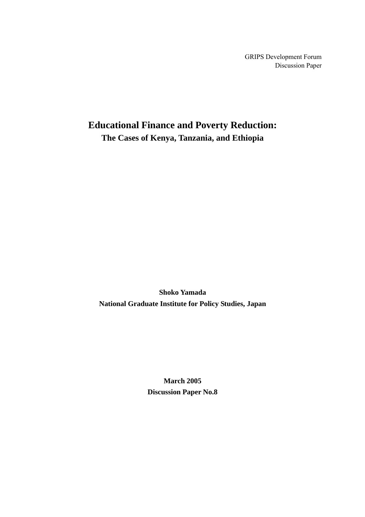GRIPS Development Forum Discussion Paper

## **Educational Finance and Poverty Reduction: The Cases of Kenya, Tanzania, and Ethiopia**

**Shoko Yamada National Graduate Institute for Policy Studies, Japan**

> **March 2005 Discussion Paper No.8**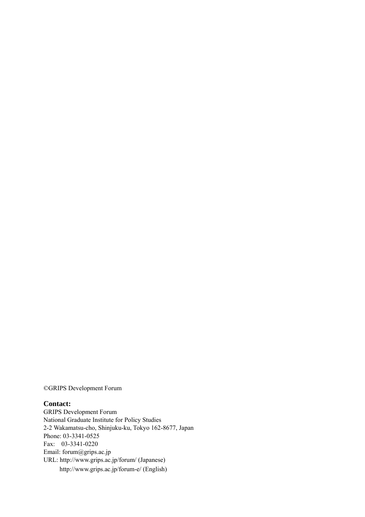©GRIPS Development Forum

#### **Contact:**

GRIPS Development Forum National Graduate Institute for Policy Studies 2-2 Wakamatsu-cho, Shinjuku-ku, Tokyo 162-8677, Japan Phone: 03-3341-0525 Fax: 03-3341-0220 Email: forum@grips.ac.jp URL: http://www.grips.ac.jp/forum/ (Japanese) http://www.grips.ac.jp/forum-e/ (English)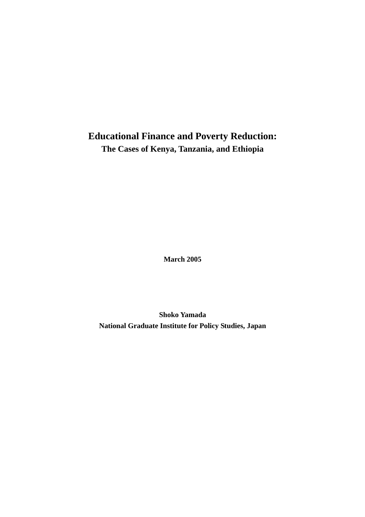# **Educational Finance and Poverty Reduction: The Cases of Kenya, Tanzania, and Ethiopia**

**March 2005** 

**Shoko Yamada National Graduate Institute for Policy Studies, Japan**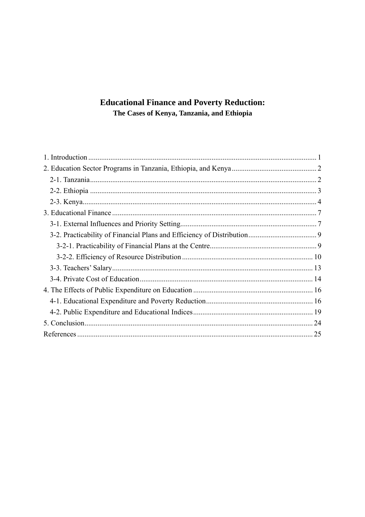## **Educational Finance and Poverty Reduction:** The Cases of Kenya, Tanzania, and Ethiopia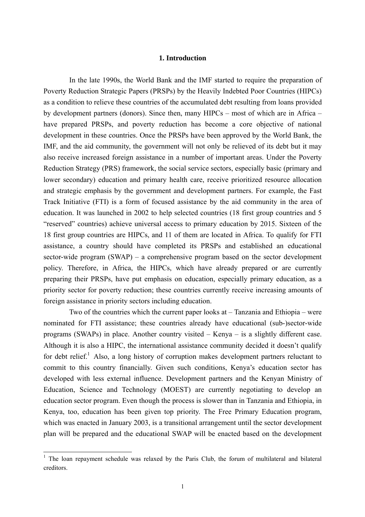## **1. Introduction**

 In the late 1990s, the World Bank and the IMF started to require the preparation of Poverty Reduction Strategic Papers (PRSPs) by the Heavily Indebted Poor Countries (HIPCs) as a condition to relieve these countries of the accumulated debt resulting from loans provided by development partners (donors). Since then, many HIPCs – most of which are in Africa – have prepared PRSPs, and poverty reduction has become a core objective of national development in these countries. Once the PRSPs have been approved by the World Bank, the IMF, and the aid community, the government will not only be relieved of its debt but it may also receive increased foreign assistance in a number of important areas. Under the Poverty Reduction Strategy (PRS) framework, the social service sectors, especially basic (primary and lower secondary) education and primary health care, receive prioritized resource allocation and strategic emphasis by the government and development partners. For example, the Fast Track Initiative (FTI) is a form of focused assistance by the aid community in the area of education. It was launched in 2002 to help selected countries (18 first group countries and 5 "reserved" countries) achieve universal access to primary education by 2015. Sixteen of the 18 first group countries are HIPCs, and 11 of them are located in Africa. To qualify for FTI assistance, a country should have completed its PRSPs and established an educational sector-wide program (SWAP) – a comprehensive program based on the sector development policy. Therefore, in Africa, the HIPCs, which have already prepared or are currently preparing their PRSPs, have put emphasis on education, especially primary education, as a priority sector for poverty reduction; these countries currently receive increasing amounts of foreign assistance in priority sectors including education.

Two of the countries which the current paper looks at – Tanzania and Ethiopia – were nominated for FTI assistance; these countries already have educational (sub-)sector-wide programs (SWAPs) in place. Another country visited – Kenya – is a slightly different case. Although it is also a HIPC, the international assistance community decided it doesn't qualify for debt relief.<sup>1</sup> Also, a long history of corruption makes development partners reluctant to commit to this country financially. Given such conditions, Kenya's education sector has developed with less external influence. Development partners and the Kenyan Ministry of Education, Science and Technology (MOEST) are currently negotiating to develop an education sector program. Even though the process is slower than in Tanzania and Ethiopia, in Kenya, too, education has been given top priority. The Free Primary Education program, which was enacted in January 2003, is a transitional arrangement until the sector development plan will be prepared and the educational SWAP will be enacted based on the development

<sup>&</sup>lt;sup>1</sup> The loan repayment schedule was relaxed by the Paris Club, the forum of multilateral and bilateral creditors.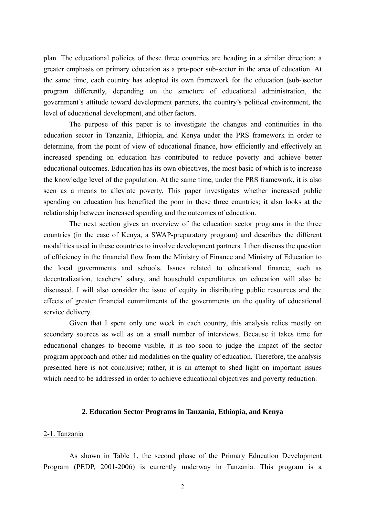plan. The educational policies of these three countries are heading in a similar direction: a greater emphasis on primary education as a pro-poor sub-sector in the area of education. At the same time, each country has adopted its own framework for the education (sub-)sector program differently, depending on the structure of educational administration, the government's attitude toward development partners, the country's political environment, the level of educational development, and other factors.

 The purpose of this paper is to investigate the changes and continuities in the education sector in Tanzania, Ethiopia, and Kenya under the PRS framework in order to determine, from the point of view of educational finance, how efficiently and effectively an increased spending on education has contributed to reduce poverty and achieve better educational outcomes. Education has its own objectives, the most basic of which is to increase the knowledge level of the population. At the same time, under the PRS framework, it is also seen as a means to alleviate poverty. This paper investigates whether increased public spending on education has benefited the poor in these three countries; it also looks at the relationship between increased spending and the outcomes of education.

The next section gives an overview of the education sector programs in the three countries (in the case of Kenya, a SWAP-preparatory program) and describes the different modalities used in these countries to involve development partners. I then discuss the question of efficiency in the financial flow from the Ministry of Finance and Ministry of Education to the local governments and schools. Issues related to educational finance, such as decentralization, teachers' salary, and household expenditures on education will also be discussed. I will also consider the issue of equity in distributing public resources and the effects of greater financial commitments of the governments on the quality of educational service delivery.

Given that I spent only one week in each country, this analysis relies mostly on secondary sources as well as on a small number of interviews. Because it takes time for educational changes to become visible, it is too soon to judge the impact of the sector program approach and other aid modalities on the quality of education. Therefore, the analysis presented here is not conclusive; rather, it is an attempt to shed light on important issues which need to be addressed in order to achieve educational objectives and poverty reduction.

#### **2. Education Sector Programs in Tanzania, Ethiopia, and Kenya**

#### 2-1. Tanzania

As shown in Table 1, the second phase of the Primary Education Development Program (PEDP, 2001-2006) is currently underway in Tanzania. This program is a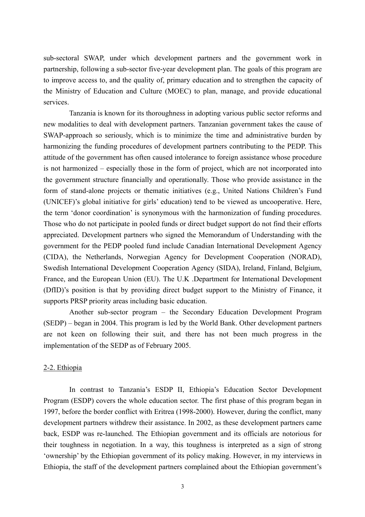sub-sectoral SWAP, under which development partners and the government work in partnership, following a sub-sector five-year development plan. The goals of this program are to improve access to, and the quality of, primary education and to strengthen the capacity of the Ministry of Education and Culture (MOEC) to plan, manage, and provide educational services.

Tanzania is known for its thoroughness in adopting various public sector reforms and new modalities to deal with development partners. Tanzanian government takes the cause of SWAP-approach so seriously, which is to minimize the time and administrative burden by harmonizing the funding procedures of development partners contributing to the PEDP. This attitude of the government has often caused intolerance to foreign assistance whose procedure is not harmonized – especially those in the form of project, which are not incorporated into the government structure financially and operationally. Those who provide assistance in the form of stand-alone projects or thematic initiatives (e.g., United Nations Children's Fund (UNICEF)'s global initiative for girls' education) tend to be viewed as uncooperative. Here, the term 'donor coordination' is synonymous with the harmonization of funding procedures. Those who do not participate in pooled funds or direct budget support do not find their efforts appreciated. Development partners who signed the Memorandum of Understanding with the government for the PEDP pooled fund include Canadian International Development Agency (CIDA), the Netherlands, Norwegian Agency for Development Cooperation (NORAD), Swedish International Development Cooperation Agency (SIDA), Ireland, Finland, Belgium, France, and the European Union (EU). The U.K .Department for International Development (DfID)'s position is that by providing direct budget support to the Ministry of Finance, it supports PRSP priority areas including basic education.

Another sub-sector program – the Secondary Education Development Program (SEDP) – began in 2004. This program is led by the World Bank. Other development partners are not keen on following their suit, and there has not been much progress in the implementation of the SEDP as of February 2005.

## 2-2. Ethiopia

In contrast to Tanzania's ESDP II, Ethiopia's Education Sector Development Program (ESDP) covers the whole education sector. The first phase of this program began in 1997, before the border conflict with Eritrea (1998-2000). However, during the conflict, many development partners withdrew their assistance. In 2002, as these development partners came back, ESDP was re-launched. The Ethiopian government and its officials are notorious for their toughness in negotiation. In a way, this toughness is interpreted as a sign of strong 'ownership' by the Ethiopian government of its policy making. However, in my interviews in Ethiopia, the staff of the development partners complained about the Ethiopian government's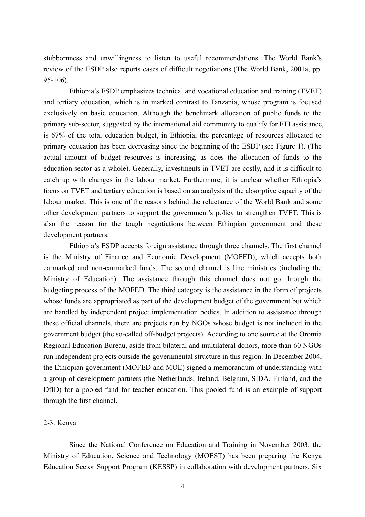stubbornness and unwillingness to listen to useful recommendations. The World Bank's review of the ESDP also reports cases of difficult negotiations (The World Bank, 2001a, pp.  $95-106$ 

Ethiopia's ESDP emphasizes technical and vocational education and training (TVET) and tertiary education, which is in marked contrast to Tanzania, whose program is focused exclusively on basic education. Although the benchmark allocation of public funds to the primary sub-sector, suggested by the international aid community to qualify for FTI assistance, is 67% of the total education budget, in Ethiopia, the percentage of resources allocated to primary education has been decreasing since the beginning of the ESDP (see Figure 1). (The actual amount of budget resources is increasing, as does the allocation of funds to the education sector as a whole). Generally, investments in TVET are costly, and it is difficult to catch up with changes in the labour market. Furthermore, it is unclear whether Ethiopia's focus on TVET and tertiary education is based on an analysis of the absorptive capacity of the labour market. This is one of the reasons behind the reluctance of the World Bank and some other development partners to support the government's policy to strengthen TVET. This is also the reason for the tough negotiations between Ethiopian government and these development partners.

Ethiopia's ESDP accepts foreign assistance through three channels. The first channel is the Ministry of Finance and Economic Development (MOFED), which accepts both earmarked and non-earmarked funds. The second channel is line ministries (including the Ministry of Education). The assistance through this channel does not go through the budgeting process of the MOFED. The third category is the assistance in the form of projects whose funds are appropriated as part of the development budget of the government but which are handled by independent project implementation bodies. In addition to assistance through these official channels, there are projects run by NGOs whose budget is not included in the government budget (the so-called off-budget projects). According to one source at the Oromia Regional Education Bureau, aside from bilateral and multilateral donors, more than 60 NGOs run independent projects outside the governmental structure in this region. In December 2004, the Ethiopian government (MOFED and MOE) signed a memorandum of understanding with a group of development partners (the Netherlands, Ireland, Belgium, SIDA, Finland, and the DfID) for a pooled fund for teacher education. This pooled fund is an example of support through the first channel.

## 2-3. Kenya

Since the National Conference on Education and Training in November 2003, the Ministry of Education, Science and Technology (MOEST) has been preparing the Kenya Education Sector Support Program (KESSP) in collaboration with development partners. Six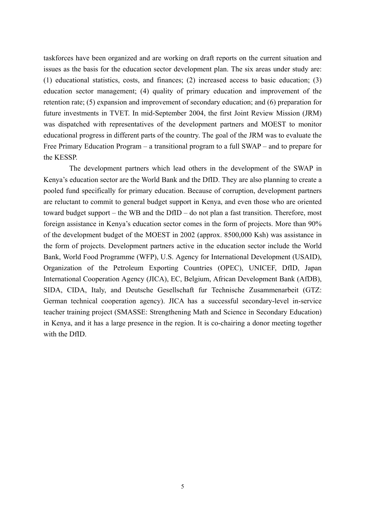taskforces have been organized and are working on draft reports on the current situation and issues as the basis for the education sector development plan. The six areas under study are: (1) educational statistics, costs, and finances; (2) increased access to basic education; (3) education sector management; (4) quality of primary education and improvement of the retention rate; (5) expansion and improvement of secondary education; and (6) preparation for future investments in TVET. In mid-September 2004, the first Joint Review Mission (JRM) was dispatched with representatives of the development partners and MOEST to monitor educational progress in different parts of the country. The goal of the JRM was to evaluate the Free Primary Education Program – a transitional program to a full SWAP – and to prepare for the KESSP.

The development partners which lead others in the development of the SWAP in Kenya's education sector are the World Bank and the DfID. They are also planning to create a pooled fund specifically for primary education. Because of corruption, development partners are reluctant to commit to general budget support in Kenya, and even those who are oriented toward budget support – the WB and the DfID – do not plan a fast transition. Therefore, most foreign assistance in Kenya's education sector comes in the form of projects. More than 90% of the development budget of the MOEST in 2002 (approx. 8500,000 Ksh) was assistance in the form of projects. Development partners active in the education sector include the World Bank, World Food Programme (WFP), U.S. Agency for International Development (USAID), Organization of the Petroleum Exporting Countries (OPEC), UNICEF, DfID, Japan International Cooperation Agency (JICA), EC, Belgium, African Development Bank (AfDB), SIDA, CIDA, Italy, and Deutsche Gesellschaft fur Technische Zusammenarbeit (GTZ: German technical cooperation agency). JICA has a successful secondary-level in-service teacher training project (SMASSE: Strengthening Math and Science in Secondary Education) in Kenya, and it has a large presence in the region. It is co-chairing a donor meeting together with the DfID.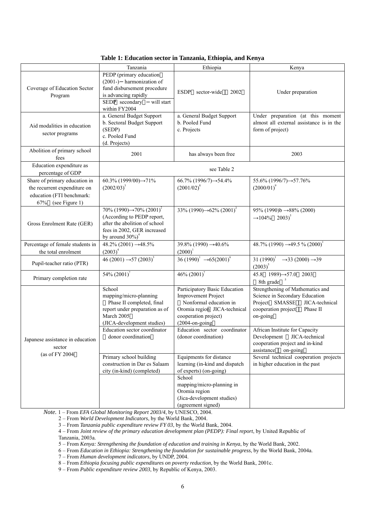|                                                                                                                  | Tanzania                                                                                                                                                                                                                     | Ethiopia                                                                                                                                                                                                                                                              | Kenya                                                                                                                                                                                                                                                                                                                        |
|------------------------------------------------------------------------------------------------------------------|------------------------------------------------------------------------------------------------------------------------------------------------------------------------------------------------------------------------------|-----------------------------------------------------------------------------------------------------------------------------------------------------------------------------------------------------------------------------------------------------------------------|------------------------------------------------------------------------------------------------------------------------------------------------------------------------------------------------------------------------------------------------------------------------------------------------------------------------------|
| Coverage of Education Sector<br>Program                                                                          | PEDP (primary education<br>(2001-) harmonization of<br>fund disbursement procedure<br>is advancing rapidly<br>will start<br>SEDP secondary<br>within FY2004                                                                  | ESDP<br>sector-wide<br>2002                                                                                                                                                                                                                                           | Under preparation                                                                                                                                                                                                                                                                                                            |
| Aid modalities in education<br>sector programs                                                                   | a. General Budget Support<br>b. Sectoral Budget Support<br>(SEDP)<br>c. Pooled Fund<br>(d. Projects)                                                                                                                         | a. General Budget Support<br>b. Pooled Fund<br>c. Projects                                                                                                                                                                                                            | Under preparation (at this moment<br>almost all external assistance is in the<br>form of project)                                                                                                                                                                                                                            |
| Abolition of primary school<br>fees                                                                              | 2001                                                                                                                                                                                                                         | has always been free                                                                                                                                                                                                                                                  | 2003                                                                                                                                                                                                                                                                                                                         |
| Education expenditure as<br>percentage of GDP                                                                    |                                                                                                                                                                                                                              | see Table 2                                                                                                                                                                                                                                                           |                                                                                                                                                                                                                                                                                                                              |
| Share of primary education in<br>the recurrent expenditure on<br>education (FTI benchmark:<br>67% (see Figure 1) | 60.3% $(1999/00) \rightarrow 71\%$<br>$(2002/03)^3$                                                                                                                                                                          | $66.7\%$ (1996/7) $\rightarrow$ 54.4%<br>$(2001/02)^8$                                                                                                                                                                                                                | $55.6\%$ (1996/7) $\rightarrow$ 57.76%<br>$(2000/01)^9$                                                                                                                                                                                                                                                                      |
| Gross Enrolment Rate (GER)                                                                                       | 70% (1990) $\rightarrow$ 70% (2001) <sup>2</sup><br>(According to PEDP report,<br>after the abolition of school<br>fees in 2002, GER increased<br>by around $30\%$ <sup>4</sup>                                              | 33% (1990) $\rightarrow$ 62% (2001) <sup>2</sup>                                                                                                                                                                                                                      | 95% (1990) $b \rightarrow 88\%$ (2000)<br>$\rightarrow 104\%$ 2003) <sup>5</sup>                                                                                                                                                                                                                                             |
| Percentage of female students in<br>the total enrolment                                                          | 48.2% (2001) $\rightarrow$ 48.5%<br>$(2003)^4$                                                                                                                                                                               | 39.8% (1990) $\rightarrow$ 40.6%<br>$(2000)^1$                                                                                                                                                                                                                        | 48.7% (1990) $\rightarrow$ 49.5 % (2000) <sup>1</sup>                                                                                                                                                                                                                                                                        |
| Pupil-teacher ratio (PTR)                                                                                        | 46 (2001) $\rightarrow$ 57 (2003) <sup>3</sup>                                                                                                                                                                               | 36 (1990) <sup>1</sup> $\rightarrow$ 65(2001) <sup>6</sup>                                                                                                                                                                                                            | 31 $(1990)^{1}$<br>$\rightarrow$ 33 (2000) $\rightarrow$ 39<br>$(2003)^5$                                                                                                                                                                                                                                                    |
| Primary completion rate                                                                                          | $54\% (2001)^7$                                                                                                                                                                                                              | 46% $(2001)^7$                                                                                                                                                                                                                                                        | 45.8 $1989 \rightarrow 57.0$ 2003<br>8th grade                                                                                                                                                                                                                                                                               |
| Japanese assistance in education<br>sector<br>(as of FY 2004                                                     | School<br>mapping/micro-planning<br>Phase II completed, final<br>report under preparation as of<br>March 2005<br>(JICA-development studies)<br>Education sector coordinator<br>donor coordination<br>Primary school building | Participatory Basic Education<br><b>Improvement Project</b><br>Nonformal education in<br>Oromia region JICA-technical<br>cooperation project)<br>$(2004 \text{-} \text{on-going})$<br>Education sector coordinator<br>(donor coordination)<br>Equipments for distance | Strengthening of Mathematics and<br>Science in Secondary Education<br>Project SMASSE<br>JICA-technical<br>cooperation project<br>Phase II<br>on-going<br>African Institute for Capacity<br>Development JICA-technical<br>cooperation project and in-kind<br>assistance<br>on-going<br>Several technical cooperation projects |
|                                                                                                                  | construction in Dar es Salaam<br>city (in-kind) (completed)                                                                                                                                                                  | learning (in-kind and dispatch<br>of experts) (on-going)<br>School<br>mapping/micro-planning in<br>Oromia region<br>(Jica-development studies)<br>(agreement signed)                                                                                                  | in higher education in the past                                                                                                                                                                                                                                                                                              |

**Table 1: Education sector in Tanzania, Ethiopia, and Kenya**

*Note.* 1 – From *EFA Global Monitoring Report 2003/4*, by UNESCO, 2004.

2 – From *World Development Indicators*, by the World Bank, 2004.

3 – From *Tanzania public expenditure review FY 03*, by the World Bank, 2004.

4 – From *Joint review of the primary education development plan (PEDP): Final report*, by United Republic of Tanzania, 2003a.

5 – From *Kenya: Strengthening the foundation of education and training in Kenya*, by the World Bank, 2002.

6 – From *Education in Ethiopia: Strengthening the foundation for sustainable progress*, by the World Bank, 2004a.

7 – From *Human development indicators*, by UNDP, 2004.

8 – From *Ethiopia focusing public expenditures on poverty reduction*, by the World Bank, 2001c.

9 – From *Public expenditure review 2003*, by Republic of Kenya, 2003.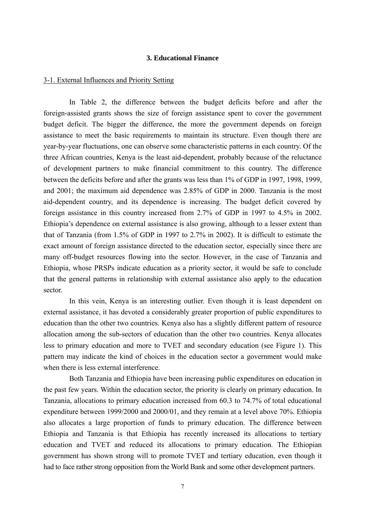## **3. Educational Finance**

#### 3-1. External Influences and Priority Setting

In Table 2, the difference between the budget deficits before and after the foreign-assisted grants shows the size of foreign assistance spent to cover the government budget deficit. The bigger the difference, the more the government depends on foreign assistance to meet the basic requirements to maintain its structure. Even though there are year-by-year fluctuations, one can observe some characteristic patterns in each country. Of the three African countries, Kenya is the least aid-dependent, probably because of the reluctance of development partners to make financial commitment to this country. The difference between the deficits before and after the grants was less than 1% of GDP in 1997, 1998, 1999, and 2001; the maximum aid dependence was 2.85% of GDP in 2000. Tanzania is the most aid-dependent country, and its dependence is increasing. The budget deficit covered by foreign assistance in this country increased from 2.7% of GDP in 1997 to 4.5% in 2002. Ethiopia's dependence on external assistance is also growing, although to a lesser extent than that of Tanzania (from 1.5% of GDP in 1997 to 2.7% in 2002). It is difficult to estimate the exact amount of foreign assistance directed to the education sector, especially since there are many off-budget resources flowing into the sector. However, in the case of Tanzania and Ethiopia, whose PRSPs indicate education as a priority sector, it would be safe to conclude that the general patterns in relationship with external assistance also apply to the education sector.

In this vein, Kenya is an interesting outlier. Even though it is least dependent on external assistance, it has devoted a considerably greater proportion of public expenditures to education than the other two countries. Kenya also has a slightly different pattern of resource allocation among the sub-sectors of education than the other two countries. Kenya allocates less to primary education and more to TVET and secondary education (see Figure 1). This pattern may indicate the kind of choices in the education sector a government would make when there is less external interference.

Both Tanzania and Ethiopia have been increasing public expenditures on education in the past few years. Within the education sector, the priority is clearly on primary education. In Tanzania, allocations to primary education increased from 60.3 to 74.7% of total educational expenditure between 1999/2000 and 2000/01, and they remain at a level above 70%. Ethiopia also allocates a large proportion of funds to primary education. The difference between Ethiopia and Tanzania is that Ethiopia has recently increased its allocations to tertiary education and TVET and reduced its allocations to primary education. The Ethiopian government has shown strong will to promote TVET and tertiary education, even though it had to face rather strong opposition from the World Bank and some other development partners.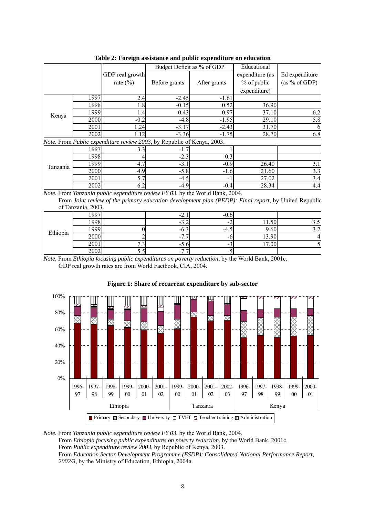| Table 2. Foreign assistance and public expenditure on equivalibri      |      |                 |                            |              |                 |                |
|------------------------------------------------------------------------|------|-----------------|----------------------------|--------------|-----------------|----------------|
|                                                                        |      |                 | Budget Deficit as % of GDP |              | Educational     |                |
|                                                                        |      | GDP real growth |                            |              | expenditure (as | Ed expenditure |
|                                                                        |      | rate $(\% )$    | Before grants              | After grants | % of public     | (as % of GDP)  |
|                                                                        |      |                 |                            |              | expenditure)    |                |
|                                                                        | 1997 | 2.4             | $-2.45$                    | $-1.61$      |                 |                |
|                                                                        | 1998 | 1.8             | $-0.15$                    | 0.52         | 36.90           |                |
| Kenya                                                                  | 1999 | 1.4             | 0.43                       | 0.97         | 37.10           | 6.2            |
|                                                                        | 2000 | $-0.2$          | $-4.8$                     | $-1.95$      | 29.10           | 5.8            |
|                                                                        | 2001 | 24              | $-3.17$                    | $-2.43$      | 31.70           |                |
|                                                                        | 2002 | 1.12            | $-3.36$                    | $-1.75$      | 28.70           | 6.8            |
| Note. From Public expenditure review 2003, by Republic of Kenya, 2003. |      |                 |                            |              |                 |                |
|                                                                        | 1997 | 3.3             | $-1.7$                     |              |                 |                |
|                                                                        | 1998 |                 | $-2.3$                     | 0.3          |                 |                |
| Tanzania                                                               | 1999 | 4.7             | $-3.1$                     | $-0.9$       | 26.40           | 3.1            |
|                                                                        | 2000 | 4.9             | $-5.8$                     | $-1.6$       | 21.60           | 3.3            |

**Table 2: Foreign assistance and public expenditure on education** 

*Note.* From *Tanzania public expenditure review FY 03*, by the World Bank, 2004.

From *Joint review of the primary education development plan (PEDP): Final report*, by United Republic of Tanzania, 2003.

2001  $5.7$   $-4.5$   $-1$   $27.02$   $3.4$  $2002$  6.2 -4.9 -0.4 28.34 4.4

|          | 1997     |                | -4.                                                  | -v. |                                   |  |
|----------|----------|----------------|------------------------------------------------------|-----|-----------------------------------|--|
|          | $1998_1$ |                | $-3.4$                                               |     | .                                 |  |
| Ethiopia | 1000     |                | $-0.1$                                               | -4. | .60 <sup>1</sup>                  |  |
|          | 2000     |                | -<br>. .                                             |     | 3.90<br>15.9                      |  |
|          | 2001     | $\cdot$ $\sim$ | $-0.0$                                               |     | $\overline{ }$<br>00 <sub>1</sub> |  |
|          | 2002     | J.J            | $\overline{\phantom{a}}$<br>$\overline{\phantom{a}}$ |     |                                   |  |

*Note.* From *Ethiopia focusing public expenditures on poverty reduction*, by the World Bank, 2001c. GDP real growth rates are from World Factbook, CIA, 2004.



#### **Figure 1: Share of recurrent expenditure by sub-sector**

*Note.* From *Tanzania public expenditure review FY 03*, by the World Bank, 2004. From *Ethiopia focusing public expenditures on poverty reduction*, by the World Bank, 2001c. From *Public expenditure review 2003*, by Republic of Kenya, 2003. From *Education Sector Development Programme (ESDP): Consolidated National Performance Report*, *2002/3*, by the Ministry of Education, Ethiopia, 2004a.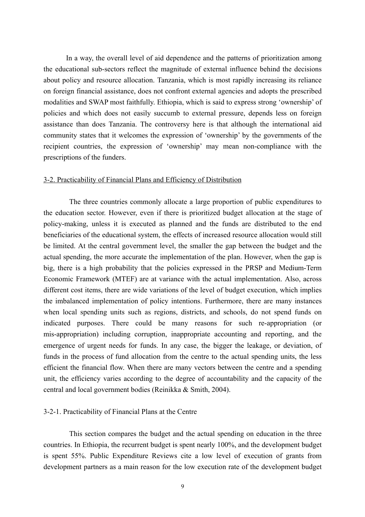In a way, the overall level of aid dependence and the patterns of prioritization among the educational sub-sectors reflect the magnitude of external influence behind the decisions about policy and resource allocation. Tanzania, which is most rapidly increasing its reliance on foreign financial assistance, does not confront external agencies and adopts the prescribed modalities and SWAP most faithfully. Ethiopia, which is said to express strong 'ownership' of policies and which does not easily succumb to external pressure, depends less on foreign assistance than does Tanzania. The controversy here is that although the international aid community states that it welcomes the expression of 'ownership' by the governments of the recipient countries, the expression of 'ownership' may mean non-compliance with the prescriptions of the funders.

#### 3-2. Practicability of Financial Plans and Efficiency of Distribution

The three countries commonly allocate a large proportion of public expenditures to the education sector. However, even if there is prioritized budget allocation at the stage of policy-making, unless it is executed as planned and the funds are distributed to the end beneficiaries of the educational system, the effects of increased resource allocation would still be limited. At the central government level, the smaller the gap between the budget and the actual spending, the more accurate the implementation of the plan. However, when the gap is big, there is a high probability that the policies expressed in the PRSP and Medium-Term Economic Framework (MTEF) are at variance with the actual implementation. Also, across different cost items, there are wide variations of the level of budget execution, which implies the imbalanced implementation of policy intentions. Furthermore, there are many instances when local spending units such as regions, districts, and schools, do not spend funds on indicated purposes. There could be many reasons for such re-appropriation (or mis-appropriation) including corruption, inappropriate accounting and reporting, and the emergence of urgent needs for funds. In any case, the bigger the leakage, or deviation, of funds in the process of fund allocation from the centre to the actual spending units, the less efficient the financial flow. When there are many vectors between the centre and a spending unit, the efficiency varies according to the degree of accountability and the capacity of the central and local government bodies (Reinikka & Smith, 2004).

#### 3-2-1. Practicability of Financial Plans at the Centre

This section compares the budget and the actual spending on education in the three countries. In Ethiopia, the recurrent budget is spent nearly 100%, and the development budget is spent 55%. Public Expenditure Reviews cite a low level of execution of grants from development partners as a main reason for the low execution rate of the development budget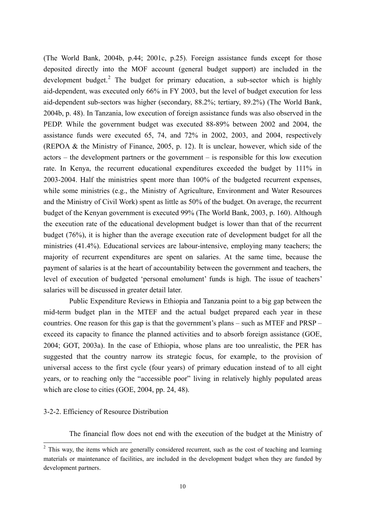(The World Bank, 2004b, p.44; 2001c, p.25). Foreign assistance funds except for those deposited directly into the MOF account (general budget support) are included in the development budget.<sup>2</sup> The budget for primary education, a sub-sector which is highly aid-dependent, was executed only 66% in FY 2003, but the level of budget execution for less aid-dependent sub-sectors was higher (secondary, 88.2%; tertiary, 89.2%) (The World Bank, 2004b, p. 48). In Tanzania, low execution of foreign assistance funds was also observed in the PEDP. While the government budget was executed 88-89% between 2002 and 2004, the assistance funds were executed 65, 74, and 72% in 2002, 2003, and 2004, respectively (REPOA & the Ministry of Finance, 2005, p. 12). It is unclear, however, which side of the actors – the development partners or the government – is responsible for this low execution rate. In Kenya, the recurrent educational expenditures exceeded the budget by 111% in 2003-2004. Half the ministries spent more than 100% of the budgeted recurrent expenses, while some ministries (e.g., the Ministry of Agriculture, Environment and Water Resources and the Ministry of Civil Work) spent as little as 50% of the budget. On average, the recurrent budget of the Kenyan government is executed 99% (The World Bank, 2003, p. 160). Although the execution rate of the educational development budget is lower than that of the recurrent budget (76%), it is higher than the average execution rate of development budget for all the ministries (41.4%). Educational services are labour-intensive, employing many teachers; the majority of recurrent expenditures are spent on salaries. At the same time, because the payment of salaries is at the heart of accountability between the government and teachers, the level of execution of budgeted 'personal emolument' funds is high. The issue of teachers' salaries will be discussed in greater detail later.

Public Expenditure Reviews in Ethiopia and Tanzania point to a big gap between the mid-term budget plan in the MTEF and the actual budget prepared each year in these countries. One reason for this gap is that the government's plans – such as MTEF and PRSP – exceed its capacity to finance the planned activities and to absorb foreign assistance (GOE, 2004; GOT, 2003a). In the case of Ethiopia, whose plans are too unrealistic, the PER has suggested that the country narrow its strategic focus, for example, to the provision of universal access to the first cycle (four years) of primary education instead of to all eight years, or to reaching only the "accessible poor" living in relatively highly populated areas which are close to cities (GOE, 2004, pp. 24, 48).

### 3-2-2. Efficiency of Resource Distribution

 $\overline{a}$ 

The financial flow does not end with the execution of the budget at the Ministry of

 $2$  This way, the items which are generally considered recurrent, such as the cost of teaching and learning materials or maintenance of facilities, are included in the development budget when they are funded by development partners.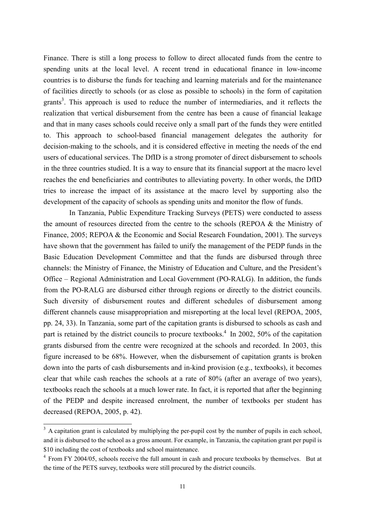Finance. There is still a long process to follow to direct allocated funds from the centre to spending units at the local level. A recent trend in educational finance in low-income countries is to disburse the funds for teaching and learning materials and for the maintenance of facilities directly to schools (or as close as possible to schools) in the form of capitation grants<sup>3</sup>. This approach is used to reduce the number of intermediaries, and it reflects the realization that vertical disbursement from the centre has been a cause of financial leakage and that in many cases schools could receive only a small part of the funds they were entitled to. This approach to school-based financial management delegates the authority for decision-making to the schools, and it is considered effective in meeting the needs of the end users of educational services. The DfID is a strong promoter of direct disbursement to schools in the three countries studied. It is a way to ensure that its financial support at the macro level reaches the end beneficiaries and contributes to alleviating poverty. In other words, the DfID tries to increase the impact of its assistance at the macro level by supporting also the development of the capacity of schools as spending units and monitor the flow of funds.

In Tanzania, Public Expenditure Tracking Surveys (PETS) were conducted to assess the amount of resources directed from the centre to the schools (REPOA & the Ministry of Finance, 2005; REPOA & the Economic and Social Research Foundation, 2001). The surveys have shown that the government has failed to unify the management of the PEDP funds in the Basic Education Development Committee and that the funds are disbursed through three channels: the Ministry of Finance, the Ministry of Education and Culture, and the President's Office – Regional Administration and Local Government (PO-RALG). In addition, the funds from the PO-RALG are disbursed either through regions or directly to the district councils. Such diversity of disbursement routes and different schedules of disbursement among different channels cause misappropriation and misreporting at the local level (REPOA, 2005, pp. 24, 33). In Tanzania, some part of the capitation grants is disbursed to schools as cash and part is retained by the district councils to procure textbooks.<sup>4</sup> In 2002, 50% of the capitation grants disbursed from the centre were recognized at the schools and recorded. In 2003, this figure increased to be 68%. However, when the disbursement of capitation grants is broken down into the parts of cash disbursements and in-kind provision (e.g., textbooks), it becomes clear that while cash reaches the schools at a rate of 80% (after an average of two years), textbooks reach the schools at a much lower rate. In fact, it is reported that after the beginning of the PEDP and despite increased enrolment, the number of textbooks per student has decreased (REPOA, 2005, p. 42).

<sup>&</sup>lt;sup>3</sup> A capitation grant is calculated by multiplying the per-pupil cost by the number of pupils in each school, and it is disbursed to the school as a gross amount. For example, in Tanzania, the capitation grant per pupil is \$10 including the cost of textbooks and school maintenance.

<sup>&</sup>lt;sup>4</sup> From FY 2004/05, schools receive the full amount in cash and procure textbooks by themselves. But at the time of the PETS survey, textbooks were still procured by the district councils.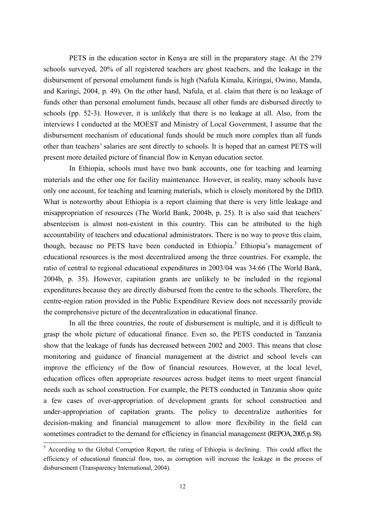PETS in the education sector in Kenya are still in the preparatory stage. At the 279 schools surveyed, 20% of all registered teachers are ghost teachers, and the leakage in the disbursement of personal emolument funds is high (Nafula Kimalu, Kiringai, Owino, Manda, and Karingi, 2004, p. 49). On the other hand, Nafula, et al. claim that there is no leakage of funds other than personal emolument funds, because all other funds are disbursed directly to schools (pp. 52-3). However, it is unlikely that there is no leakage at all. Also, from the interviews I conducted at the MOEST and Ministry of Local Government, I assume that the disbursement mechanism of educational funds should be much more complex than all funds other than teachers' salaries are sent directly to schools. It is hoped that an earnest PETS will present more detailed picture of financial flow in Kenyan education sector.

In Ethiopia, schools must have two bank accounts, one for teaching and learning materials and the other one for facility maintenance. However, in reality, many schools have only one account, for teaching and learning materials, which is closely monitored by the DfID. What is noteworthy about Ethiopia is a report claiming that there is very little leakage and misappropriation of resources (The World Bank, 2004b, p. 25). It is also said that teachers' absenteeism is almost non-existent in this country. This can be attributed to the high accountability of teachers and educational administrators. There is no way to prove this claim, though, because no PETS have been conducted in Ethiopia.<sup>5</sup> Ethiopia's management of educational resources is the most decentralized among the three countries. For example, the ratio of central to regional educational expenditures in 2003/04 was 34:66 (The World Bank, 2004b, p. 35). However, capitation grants are unlikely to be included in the regional expenditures because they are directly disbursed from the centre to the schools. Therefore, the centre-region ration provided in the Public Expenditure Review does not necessarily provide the comprehensive picture of the decentralization in educational finance.

In all the three countries, the route of disbursement is multiple, and it is difficult to grasp the whole picture of educational finance. Even so, the PETS conducted in Tanzania show that the leakage of funds has decreased between 2002 and 2003. This means that close monitoring and guidance of financial management at the district and school levels can improve the efficiency of the flow of financial resources. However, at the local level, education offices often appropriate resources across budget items to meet urgent financial needs such as school construction. For example, the PETS conducted in Tanzania show quite a few cases of over-appropriation of development grants for school construction and under-appropriation of capitation grants. The policy to decentralize authorities for decision-making and financial management to allow more flexibility in the field can sometimes contradict to the demand for efficiency in financial management (REPOA, 2005, p. 58).

<sup>&</sup>lt;sup>5</sup> According to the Global Corruption Report, the rating of Ethiopia is declining. This could affect the efficiency of educational financial flow, too, as corruption will increase the leakage in the process of disbursement (Transparency International, 2004).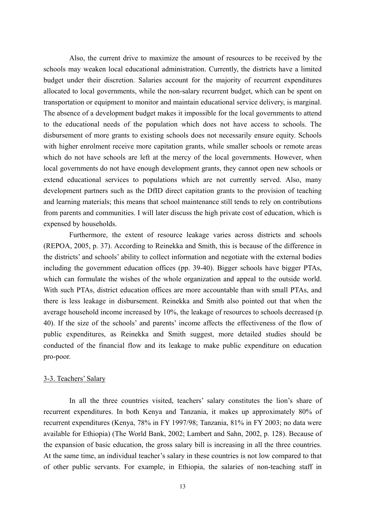Also, the current drive to maximize the amount of resources to be received by the schools may weaken local educational administration. Currently, the districts have a limited budget under their discretion. Salaries account for the majority of recurrent expenditures allocated to local governments, while the non-salary recurrent budget, which can be spent on transportation or equipment to monitor and maintain educational service delivery, is marginal. The absence of a development budget makes it impossible for the local governments to attend to the educational needs of the population which does not have access to schools. The disbursement of more grants to existing schools does not necessarily ensure equity. Schools with higher enrolment receive more capitation grants, while smaller schools or remote areas which do not have schools are left at the mercy of the local governments. However, when local governments do not have enough development grants, they cannot open new schools or extend educational services to populations which are not currently served. Also, many development partners such as the DfID direct capitation grants to the provision of teaching and learning materials; this means that school maintenance still tends to rely on contributions from parents and communities. I will later discuss the high private cost of education, which is expensed by households.

Furthermore, the extent of resource leakage varies across districts and schools (REPOA, 2005, p. 37). According to Reinekka and Smith, this is because of the difference in the districts' and schools' ability to collect information and negotiate with the external bodies including the government education offices (pp. 39-40). Bigger schools have bigger PTAs, which can formulate the wishes of the whole organization and appeal to the outside world. With such PTAs, district education offices are more accountable than with small PTAs, and there is less leakage in disbursement. Reinekka and Smith also pointed out that when the average household income increased by 10%, the leakage of resources to schools decreased (p. 40). If the size of the schools' and parents' income affects the effectiveness of the flow of public expenditures, as Reinekka and Smith suggest, more detailed studies should be conducted of the financial flow and its leakage to make public expenditure on education pro-poor.

#### 3-3. Teachers' Salary

In all the three countries visited, teachers' salary constitutes the lion's share of recurrent expenditures. In both Kenya and Tanzania, it makes up approximately 80% of recurrent expenditures (Kenya, 78% in FY 1997/98; Tanzania, 81% in FY 2003; no data were available for Ethiopia) (The World Bank, 2002; Lambert and Sahn, 2002, p. 128). Because of the expansion of basic education, the gross salary bill is increasing in all the three countries. At the same time, an individual teacher's salary in these countries is not low compared to that of other public servants. For example, in Ethiopia, the salaries of non-teaching staff in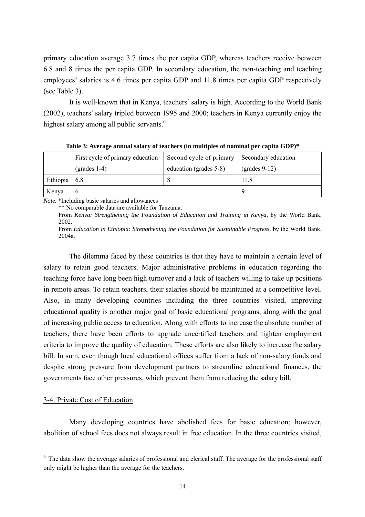primary education average 3.7 times the per capita GDP, whereas teachers receive between 6.8 and 8 times the per capita GDP. In secondary education, the non-teaching and teaching employees' salaries is 4.6 times per capita GDP and 11.8 times per capita GDP respectively (see Table 3).

It is well-known that in Kenya, teachers' salary is high. According to the World Bank (2002), teachers' salary tripled between 1995 and 2000; teachers in Kenya currently enjoy the highest salary among all public servants.<sup>6</sup>

|          | First cycle of primary education | Second cycle of primary | Secondary education                  |
|----------|----------------------------------|-------------------------|--------------------------------------|
|          | $\text{(grades 1-4)}$            | education (grades 5-8)  | $\left( \text{grades } 9-12 \right)$ |
| Ethiopia | 6.8                              |                         | 11.8                                 |
| Kenya    | O                                |                         |                                      |

**Table 3: Average annual salary of teachers (in multiples of nominal per capita GDP)\*** 

*Note.* \*Including basic salaries and allowances

\*\* No comparable data are available for Tanzania.

From *Kenya: Strengthening the Foundation of Education and Training in Kenya*, by the World Bank, 2002.

From *Education in Ethiopia: Strengthening the Foundation for Sustainable Progress,* by the World Bank, 2004a.

 The dilemma faced by these countries is that they have to maintain a certain level of salary to retain good teachers. Major administrative problems in education regarding the teaching force have long been high turnover and a lack of teachers willing to take up positions in remote areas. To retain teachers, their salaries should be maintained at a competitive level. Also, in many developing countries including the three countries visited, improving educational quality is another major goal of basic educational programs, along with the goal of increasing public access to education. Along with efforts to increase the absolute number of teachers, there have been efforts to upgrade uncertified teachers and tighten employment criteria to improve the quality of education. These efforts are also likely to increase the salary bill. In sum, even though local educational offices suffer from a lack of non-salary funds and despite strong pressure from development partners to streamline educational finances, the governments face other pressures, which prevent them from reducing the salary bill.

## 3-4. Private Cost of Education

Many developing countries have abolished fees for basic education; however, abolition of school fees does not always result in free education. In the three countries visited,

<sup>&</sup>lt;sup>6</sup> The data show the average salaries of professional and clerical staff. The average for the professional staff only might be higher than the average for the teachers.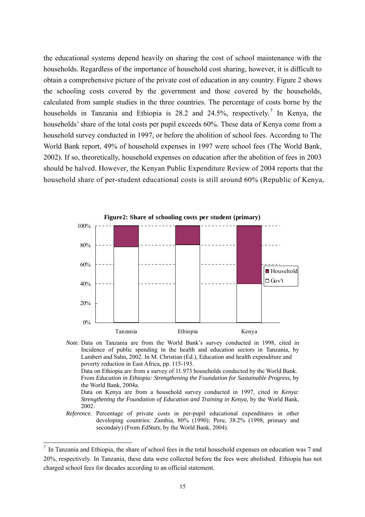the educational systems depend heavily on sharing the cost of school maintenance with the households. Regardless of the importance of household cost sharing, however, it is difficult to obtain a comprehensive picture of the private cost of education in any country. Figure 2 shows the schooling costs covered by the government and those covered by the households, calculated from sample studies in the three countries. The percentage of costs borne by the households in Tanzania and Ethiopia is 28.2 and 24.5%, respectively.<sup>7</sup> In Kenya, the households' share of the total costs per pupil exceeds 60%. These data of Kenya come from a household survey conducted in 1997, or before the abolition of school fees. According to The World Bank report, 49% of household expenses in 1997 were school fees (The World Bank, 2002). If so, theoretically, household expenses on education after the abolition of fees in 2003 should be halved. However, the Kenyan Public Expenditure Review of 2004 reports that the household share of per-student educational costs is still around 60% (Republic of Kenya,



*Note.* Data on Tanzania are from the World Bank's survey conducted in 1998, cited in Incidence of public spending in the health and education sectors in Tanzania, by Lambert and Sahn, 2002. In M. Christian (Ed.), Education and health expenditure and poverty reduction in East Africa, pp. 115-193. Data on Ethiopia are from a survey of 11.973 households conducted by the World Bank.

From *Education in Ethiopia: Strengthening the Foundation for Sustainable Progress*, by the World Bank, 2004a.

Data on Kenya are from a household survey conducted in 1997, cited in *Kenya: Strengthening the Foundation of Education and Training in Kenya,* by the World Bank, 2002.

*Reference.* Percentage of private costs in per-pupil educational expenditures in other developing countries: Zambia, 80% (1990); Peru, 38.2% (1998, primary and secondary) (From *EdStats*, by the World Bank, 2004).

 $\overline{a}$ 

 $<sup>7</sup>$  In Tanzania and Ethiopia, the share of school fees in the total household expenses on education was 7 and</sup> 20%, respectively. In Tanzania, these data were collected before the fees were abolished. Ethiopia has not charged school fees for decades according to an official statement.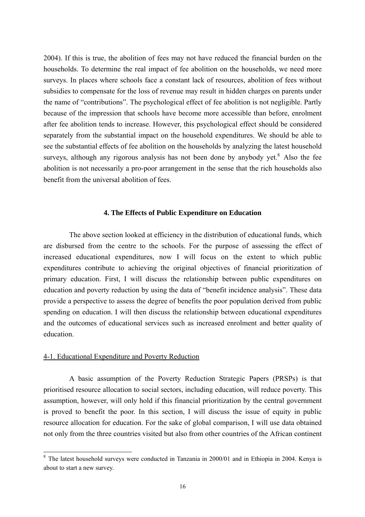2004). If this is true, the abolition of fees may not have reduced the financial burden on the households. To determine the real impact of fee abolition on the households, we need more surveys. In places where schools face a constant lack of resources, abolition of fees without subsidies to compensate for the loss of revenue may result in hidden charges on parents under the name of "contributions". The psychological effect of fee abolition is not negligible. Partly because of the impression that schools have become more accessible than before, enrolment after fee abolition tends to increase. However, this psychological effect should be considered separately from the substantial impact on the household expenditures. We should be able to see the substantial effects of fee abolition on the households by analyzing the latest household surveys, although any rigorous analysis has not been done by anybody yet.<sup>8</sup> Also the fee abolition is not necessarily a pro-poor arrangement in the sense that the rich households also benefit from the universal abolition of fees.

### **4. The Effects of Public Expenditure on Education**

 The above section looked at efficiency in the distribution of educational funds, which are disbursed from the centre to the schools. For the purpose of assessing the effect of increased educational expenditures, now I will focus on the extent to which public expenditures contribute to achieving the original objectives of financial prioritization of primary education. First, I will discuss the relationship between public expenditures on education and poverty reduction by using the data of "benefit incidence analysis". These data provide a perspective to assess the degree of benefits the poor population derived from public spending on education. I will then discuss the relationship between educational expenditures and the outcomes of educational services such as increased enrolment and better quality of education.

#### 4-1. Educational Expenditure and Poverty Reduction

A basic assumption of the Poverty Reduction Strategic Papers (PRSPs) is that prioritised resource allocation to social sectors, including education, will reduce poverty. This assumption, however, will only hold if this financial prioritization by the central government is proved to benefit the poor. In this section, I will discuss the issue of equity in public resource allocation for education. For the sake of global comparison, I will use data obtained not only from the three countries visited but also from other countries of the African continent

<sup>&</sup>lt;sup>8</sup> The latest household surveys were conducted in Tanzania in 2000/01 and in Ethiopia in 2004. Kenya is about to start a new survey.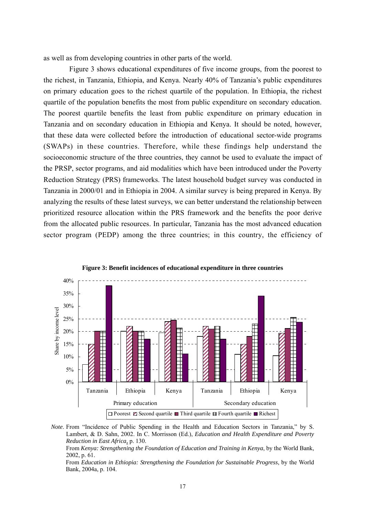as well as from developing countries in other parts of the world.

Figure 3 shows educational expenditures of five income groups, from the poorest to the richest, in Tanzania, Ethiopia, and Kenya. Nearly 40% of Tanzania's public expenditures on primary education goes to the richest quartile of the population. In Ethiopia, the richest quartile of the population benefits the most from public expenditure on secondary education. The poorest quartile benefits the least from public expenditure on primary education in Tanzania and on secondary education in Ethiopia and Kenya. It should be noted, however, that these data were collected before the introduction of educational sector-wide programs (SWAPs) in these countries. Therefore, while these findings help understand the socioeconomic structure of the three countries, they cannot be used to evaluate the impact of the PRSP, sector programs, and aid modalities which have been introduced under the Poverty Reduction Strategy (PRS) frameworks. The latest household budget survey was conducted in Tanzania in 2000/01 and in Ethiopia in 2004. A similar survey is being prepared in Kenya. By analyzing the results of these latest surveys, we can better understand the relationship between prioritized resource allocation within the PRS framework and the benefits the poor derive from the allocated public resources. In particular, Tanzania has the most advanced education sector program (PEDP) among the three countries; in this country, the efficiency of





*Note*. From "Incidence of Public Spending in the Health and Education Sectors in Tanzania," by S. Lambert, & D. Sahn, 2002. In C. Morrisson (Ed.), *Education and Health Expenditure and Poverty Reduction in East Africa,* p. 130.

From *Kenya: Strengthening the Foundation of Education and Training in Kenya*, by the World Bank,  $2002$  n 61.

From *Education in Ethiopia: Strengthening the Foundation for Sustainable Progress*, by the World Bank, 2004a, p. 104.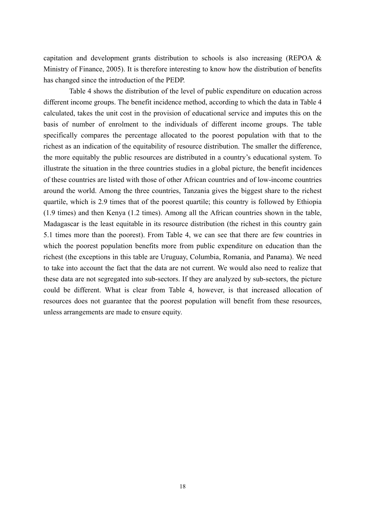capitation and development grants distribution to schools is also increasing (REPOA & Ministry of Finance, 2005). It is therefore interesting to know how the distribution of benefits has changed since the introduction of the PEDP.

 Table 4 shows the distribution of the level of public expenditure on education across different income groups. The benefit incidence method, according to which the data in Table 4 calculated, takes the unit cost in the provision of educational service and imputes this on the basis of number of enrolment to the individuals of different income groups. The table specifically compares the percentage allocated to the poorest population with that to the richest as an indication of the equitability of resource distribution. The smaller the difference, the more equitably the public resources are distributed in a country's educational system. To illustrate the situation in the three countries studies in a global picture, the benefit incidences of these countries are listed with those of other African countries and of low-income countries around the world. Among the three countries, Tanzania gives the biggest share to the richest quartile, which is 2.9 times that of the poorest quartile; this country is followed by Ethiopia (1.9 times) and then Kenya (1.2 times). Among all the African countries shown in the table, Madagascar is the least equitable in its resource distribution (the richest in this country gain 5.1 times more than the poorest). From Table 4, we can see that there are few countries in which the poorest population benefits more from public expenditure on education than the richest (the exceptions in this table are Uruguay, Columbia, Romania, and Panama). We need to take into account the fact that the data are not current. We would also need to realize that these data are not segregated into sub-sectors. If they are analyzed by sub-sectors, the picture could be different. What is clear from Table 4, however, is that increased allocation of resources does not guarantee that the poorest population will benefit from these resources, unless arrangements are made to ensure equity.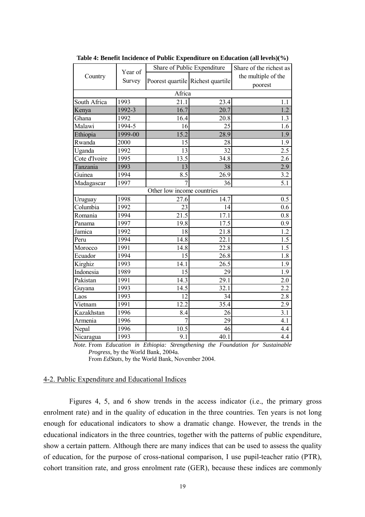|               | Year of | Share of Public Expenditure       | Share of the richest as |                                |  |
|---------------|---------|-----------------------------------|-------------------------|--------------------------------|--|
| Country       | Survey  | Poorest quartile Richest quartile |                         | the multiple of the<br>poorest |  |
|               |         | Africa                            |                         |                                |  |
| South Africa  | 1993    | 21.1                              | 23.4                    | 1.1                            |  |
| Kenya         | 1992-3  | 16.7                              | 20.7                    | 1.2                            |  |
| Ghana         | 1992    | 16.4                              | 20.8                    | 1.3                            |  |
| Malawi        | 1994-5  | 16                                | 25                      | 1.6                            |  |
| Ethiopia      | 1999-00 | 15.2                              | 28.9                    | 1.9                            |  |
| Rwanda        | 2000    | 15                                | 28                      | 1.9                            |  |
| Uganda        | 1992    | 13                                | 32                      | 2.5                            |  |
| Cote d'Ivoire | 1995    | 13.5                              | 34.8                    | 2.6                            |  |
| Tanzania      | 1993    | 13                                | 38                      | 2.9                            |  |
| Guinea        | 1994    | 8.5                               | 26.9                    | 3.2                            |  |
| Madagascar    | 1997    | 7                                 | 36                      | 5.1                            |  |
|               |         | Other low income countries        |                         |                                |  |
| Uruguay       | 1998    | 27.6                              | 14.7                    | 0.5                            |  |
| Columbia      | 1992    | 23                                | 14                      | 0.6                            |  |
| Romania       | 1994    | $\overline{21.5}$                 | 17.1                    | 0.8                            |  |
| Panama        | 1997    | 19.8                              | 17.5                    | 0.9                            |  |
| Jamica        | 1992    | 18                                | 21.8                    | 1.2                            |  |
| Peru          | 1994    | 14.8                              | 22.1                    | 1.5                            |  |
| Morocco       | 1991    | 14.8                              | 22.8                    | 1.5                            |  |
| Ecuador       | 1994    | 15                                | 26.8                    | 1.8                            |  |
| Kirghiz       | 1993    | 14.1                              | 26.5                    | 1.9                            |  |
| Indonesia     | 1989    | 15                                | 29                      | 1.9                            |  |
| Pakistan      | 1991    | 14.3                              | 29.1                    | 2.0                            |  |
| Guyana        | 1993    | 14.5                              | 32.1                    | 2.2                            |  |
| Laos          | 1993    | 12                                | 34                      | 2.8                            |  |
| Vietnam       | 1991    | 12.2                              | 35.4                    | $\overline{2.9}$               |  |
| Kazakhstan    | 1996    | 8.4                               | 26                      | 3.1                            |  |
| Armenia       | 1996    | $\overline{7}$                    | 29                      | 4.1                            |  |
| Nepal         | 1996    | 10.5                              | 46                      | 4.4                            |  |
| Nicaragua     | 1993    | 9.1                               | 40.1                    | 4.4                            |  |

**Table 4: Benefit Incidence of Public Expenditure on Education (all levels)(%)** 

*Note.* From *Education in Ethiopia: Strengthening the Foundation for Sustainable Progress,* by the World Bank, 2004a.

From *EdStats*, by the World Bank, November 2004.

## 4-2. Public Expenditure and Educational Indices

Figures 4, 5, and 6 show trends in the access indicator (i.e., the primary gross enrolment rate) and in the quality of education in the three countries. Ten years is not long enough for educational indicators to show a dramatic change. However, the trends in the educational indicators in the three countries, together with the patterns of public expenditure, show a certain pattern. Although there are many indices that can be used to assess the quality of education, for the purpose of cross-national comparison, I use pupil-teacher ratio (PTR), cohort transition rate, and gross enrolment rate (GER), because these indices are commonly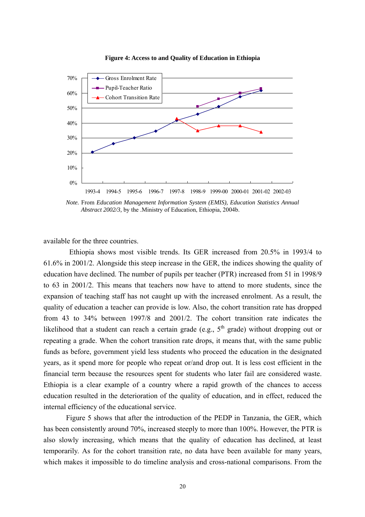

**Figure 4: Access to and Quality of Education in Ethiopia** 

*Note.* From *Education Management Information System (EMIS), Education Statistics Annual Abstract 2002/3,* by the .Ministry of Education, Ethiopia, 2004b.

available for the three countries.

Ethiopia shows most visible trends. Its GER increased from 20.5% in 1993/4 to 61.6% in 2001/2. Alongside this steep increase in the GER, the indices showing the quality of education have declined. The number of pupils per teacher (PTR) increased from 51 in 1998/9 to 63 in 2001/2. This means that teachers now have to attend to more students, since the expansion of teaching staff has not caught up with the increased enrolment. As a result, the quality of education a teacher can provide is low. Also, the cohort transition rate has dropped from 43 to 34% between 1997/8 and 2001/2. The cohort transition rate indicates the likelihood that a student can reach a certain grade (e.g.,  $5<sup>th</sup>$  grade) without dropping out or repeating a grade. When the cohort transition rate drops, it means that, with the same public funds as before, government yield less students who proceed the education in the designated years, as it spend more for people who repeat or/and drop out. It is less cost efficient in the financial term because the resources spent for students who later fail are considered waste. Ethiopia is a clear example of a country where a rapid growth of the chances to access education resulted in the deterioration of the quality of education, and in effect, reduced the internal efficiency of the educational service.

Figure 5 shows that after the introduction of the PEDP in Tanzania, the GER, which has been consistently around 70%, increased steeply to more than 100%. However, the PTR is also slowly increasing, which means that the quality of education has declined, at least temporarily. As for the cohort transition rate, no data have been available for many years, which makes it impossible to do timeline analysis and cross-national comparisons. From the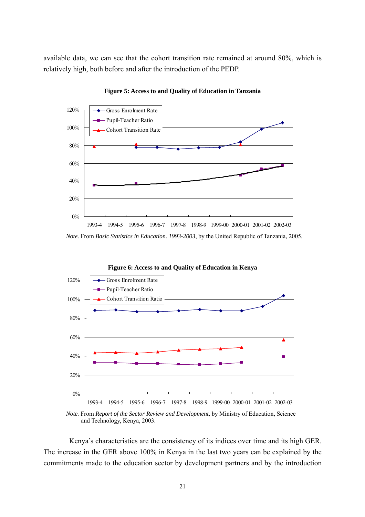available data, we can see that the cohort transition rate remained at around 80%, which is relatively high, both before and after the introduction of the PEDP.



**Figure 5: Access to and Quality of Education in Tanzania** 



**Figure 6: Access to and Quality of Education in Kenya** 

Kenya's characteristics are the consistency of its indices over time and its high GER. The increase in the GER above 100% in Kenya in the last two years can be explained by the commitments made to the education sector by development partners and by the introduction

*Note.* From *Basic Statistics in Education. 1993-2003*, by the United Republic of Tanzania, 2005.

*Note.* From *Report of the Sector Review and Development,* by Ministry of Education, Science and Technology, Kenya, 2003.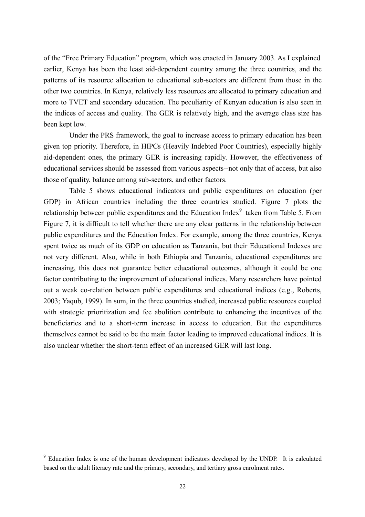of the "Free Primary Education" program, which was enacted in January 2003. As I explained earlier, Kenya has been the least aid-dependent country among the three countries, and the patterns of its resource allocation to educational sub-sectors are different from those in the other two countries. In Kenya, relatively less resources are allocated to primary education and more to TVET and secondary education. The peculiarity of Kenyan education is also seen in the indices of access and quality. The GER is relatively high, and the average class size has been kept low.

Under the PRS framework, the goal to increase access to primary education has been given top priority. Therefore, in HIPCs (Heavily Indebted Poor Countries), especially highly aid-dependent ones, the primary GER is increasing rapidly. However, the effectiveness of educational services should be assessed from various aspects--not only that of access, but also those of quality, balance among sub-sectors, and other factors.

 Table 5 shows educational indicators and public expenditures on education (per GDP) in African countries including the three countries studied. Figure 7 plots the relationship between public expenditures and the Education Index $\degree$  taken from Table 5. From Figure 7, it is difficult to tell whether there are any clear patterns in the relationship between public expenditures and the Education Index. For example, among the three countries, Kenya spent twice as much of its GDP on education as Tanzania, but their Educational Indexes are not very different. Also, while in both Ethiopia and Tanzania, educational expenditures are increasing, this does not guarantee better educational outcomes, although it could be one factor contributing to the improvement of educational indices. Many researchers have pointed out a weak co-relation between public expenditures and educational indices (e.g., Roberts, 2003; Yaqub, 1999). In sum, in the three countries studied, increased public resources coupled with strategic prioritization and fee abolition contribute to enhancing the incentives of the beneficiaries and to a short-term increase in access to education. But the expenditures themselves cannot be said to be the main factor leading to improved educational indices. It is also unclear whether the short-term effect of an increased GER will last long.

<sup>&</sup>lt;sup>9</sup> Education Index is one of the human development indicators developed by the UNDP. It is calculated based on the adult literacy rate and the primary, secondary, and tertiary gross enrolment rates.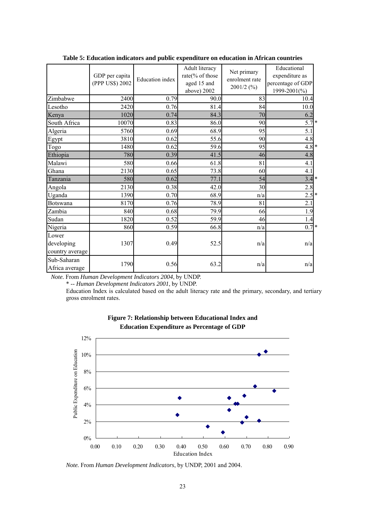|                                        | GDP per capita<br>(PPP US\$) 2002 | <b>Education</b> index | Adult literacy<br>rate(% of those<br>aged 15 and<br>above) 2002 | Net primary<br>enrolment rate<br>$2001/2$ (%) | Educational<br>expenditure as<br>percentage of GDP<br>1999-2001(%) |
|----------------------------------------|-----------------------------------|------------------------|-----------------------------------------------------------------|-----------------------------------------------|--------------------------------------------------------------------|
| Zimbabwe                               | 2400                              | 0.79                   | 90.0                                                            | 83                                            | 10.4                                                               |
| Lesotho                                | 2420                              | 0.76                   | 81.4                                                            | 84                                            | 10.0                                                               |
| Kenya                                  | 1020                              | 0.74                   | 84.3                                                            | 70                                            | 6.2                                                                |
| South Africa                           | 10070                             | 0.83                   | 86.0                                                            | 90                                            | $5.7*$                                                             |
| Algeria                                | 5760                              | 0.69                   | 68.9                                                            | 95                                            | 5.1                                                                |
| Egypt                                  | 3810                              | 0.62                   | 55.6                                                            | 90                                            | 4.8                                                                |
| Togo                                   | 1480                              | 0.62                   | 59.6                                                            | 95                                            | $4.8*$                                                             |
| Ethiopia                               | 780                               | 0.39                   | 41.5                                                            | 46                                            | 4.8                                                                |
| Malawi                                 | 580                               | 0.66                   | 61.8                                                            | 81                                            | 4.1                                                                |
| Ghana                                  | 2130                              | 0.65                   | 73.8                                                            | 60                                            | 4.1                                                                |
| Tanzania                               | 580                               | 0.62                   | 77.1                                                            | 54                                            | $3.4*$                                                             |
| Angola                                 | 2130                              | 0.38                   | 42.0                                                            | 30                                            | 2.8                                                                |
| Uganda                                 | 1390                              | 0.70                   | 68.9                                                            | n/a                                           | $2.5$ *                                                            |
| <b>Botswana</b>                        | 8170                              | 0.76                   | 78.9                                                            | 81                                            | 2.1                                                                |
| Zambia                                 | 840                               | 0.68                   | 79.9                                                            | 66                                            | 1.9                                                                |
| Sudan                                  | 1820                              | 0.52                   | 59.9                                                            | 46                                            | 1.4                                                                |
| Nigeria                                | 860                               | 0.59                   | 66.8                                                            | n/a                                           | $0.7*$                                                             |
| Lower<br>developing<br>country average | 1307                              | 0.49                   | 52.5                                                            | n/a                                           | n/a                                                                |
| Sub-Saharan<br>Africa average          | 1790                              | 0.56                   | 63.2                                                            | n/a                                           | n/a                                                                |

**Table 5: Education indicators and public expenditure on education in African countries** 

*Note.* From *Human Development Indicators 2004*, by UNDP.

\* -- *Human Development Indicators 2001*, by UNDP.

Education Index is calculated based on the adult literacy rate and the primary, secondary, and tertiary gross enrolment rates.





*Note.* From *Human Development Indicators*, by UNDP, 2001 and 2004.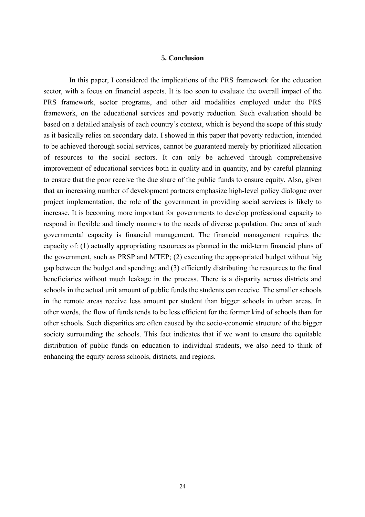## **5. Conclusion**

In this paper, I considered the implications of the PRS framework for the education sector, with a focus on financial aspects. It is too soon to evaluate the overall impact of the PRS framework, sector programs, and other aid modalities employed under the PRS framework, on the educational services and poverty reduction. Such evaluation should be based on a detailed analysis of each country's context, which is beyond the scope of this study as it basically relies on secondary data. I showed in this paper that poverty reduction, intended to be achieved thorough social services, cannot be guaranteed merely by prioritized allocation of resources to the social sectors. It can only be achieved through comprehensive improvement of educational services both in quality and in quantity, and by careful planning to ensure that the poor receive the due share of the public funds to ensure equity. Also, given that an increasing number of development partners emphasize high-level policy dialogue over project implementation, the role of the government in providing social services is likely to increase. It is becoming more important for governments to develop professional capacity to respond in flexible and timely manners to the needs of diverse population. One area of such governmental capacity is financial management. The financial management requires the capacity of: (1) actually appropriating resources as planned in the mid-term financial plans of the government, such as PRSP and MTEP; (2) executing the appropriated budget without big gap between the budget and spending; and (3) efficiently distributing the resources to the final beneficiaries without much leakage in the process. There is a disparity across districts and schools in the actual unit amount of public funds the students can receive. The smaller schools in the remote areas receive less amount per student than bigger schools in urban areas. In other words, the flow of funds tends to be less efficient for the former kind of schools than for other schools. Such disparities are often caused by the socio-economic structure of the bigger society surrounding the schools. This fact indicates that if we want to ensure the equitable distribution of public funds on education to individual students, we also need to think of enhancing the equity across schools, districts, and regions.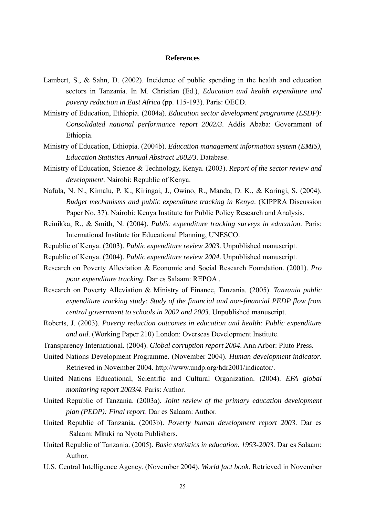#### **References**

- Lambert, S., & Sahn, D. (2002). Incidence of public spending in the health and education sectors in Tanzania. In M. Christian (Ed.), *Education and health expenditure and poverty reduction in East Africa* (pp. 115-193). Paris: OECD.
- Ministry of Education, Ethiopia. (2004a). *Education sector development programme (ESDP): Consolidated national performance report 2002/3*. Addis Ababa: Government of Ethiopia.
- Ministry of Education, Ethiopia. (2004b). *Education management information system (EMIS), Education Statistics Annual Abstract 2002/3*. Database.
- Ministry of Education, Science & Technology, Kenya. (2003). *Report of the sector review and development*. Nairobi: Republic of Kenya.
- Nafula, N. N., Kimalu, P. K., Kiringai, J., Owino, R., Manda, D. K., & Karingi, S. (2004). *Budget mechanisms and public expenditure tracking in Kenya*. (KIPPRA Discussion Paper No. 37). Nairobi: Kenya Institute for Public Policy Research and Analysis.
- Reinikka, R., & Smith, N. (2004). *Public expenditure tracking surveys in education*. Paris: International Institute for Educational Planning, UNESCO.
- Republic of Kenya. (2003). *Public expenditure review 2003*. Unpublished manuscript.
- Republic of Kenya. (2004). *Public expenditure review 2004*. Unpublished manuscript.
- Research on Poverty Alleviation & Economic and Social Research Foundation. (2001). *Pro poor expenditure tracking*. Dar es Salaam: REPOA .
- Research on Poverty Alleviation & Ministry of Finance, Tanzania. (2005). *Tanzania public expenditure tracking study: Study of the financial and non-financial PEDP flow from central government to schools in 2002 and 2003*. Unpublished manuscript.
- Roberts, J. (2003). *Poverty reduction outcomes in education and health: Public expenditure and aid*. (Working Paper 210) London: Overseas Development Institute.
- Transparency International. (2004). *Global corruption report 2004*. Ann Arbor: Pluto Press.
- United Nations Development Programme. (November 2004). *Human development indicator*. Retrieved in November 2004. http://www.undp.org/hdr2001/indicator/.
- United Nations Educational, Scientific and Cultural Organization. (2004). *EFA global monitoring report 2003/4*. Paris: Author.
- United Republic of Tanzania. (2003a). *Joint review of the primary education development plan (PEDP): Final report*. Dar es Salaam: Author.
- United Republic of Tanzania. (2003b). *Poverty human development report 2003*. Dar es Salaam: Mkuki na Nyota Publishers.
- United Republic of Tanzania. (2005). *Basic statistics in education. 1993-2003*. Dar es Salaam: Author.
- U.S. Central Intelligence Agency. (November 2004). *World fact book*. Retrieved in November